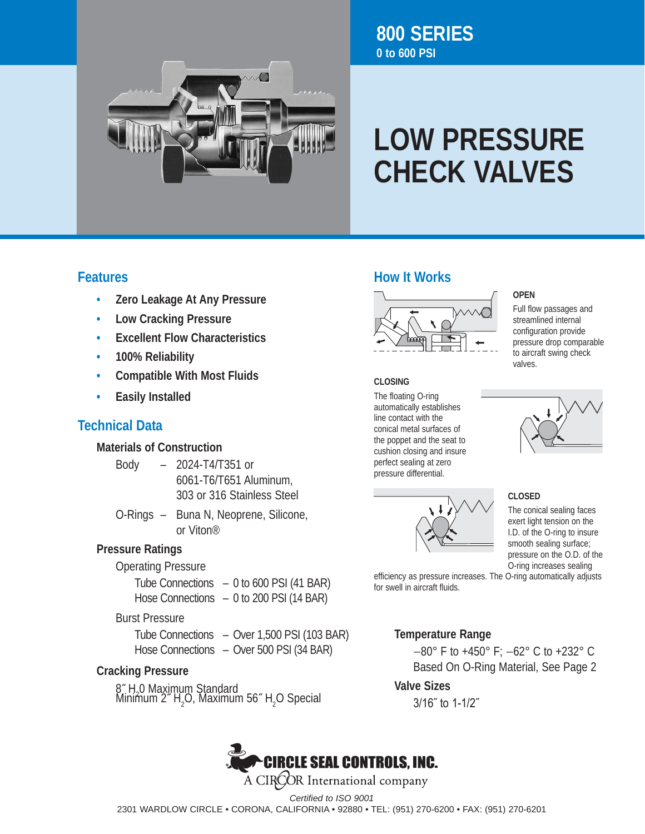

# **LOW PRESSURE CHECK VALVES**

### **Features**

- **• Zero Leakage At Any Pressure**
- **• Low Cracking Pressure**
- **• Excellent Flow Characteristics**
- **• 100% Reliability**
- **• Compatible With Most Fluids**
- **• Easily Installed**

## **Technical Data**

#### **Materials of Construction**

- Body 2024-T4/T351 or 6061-T6/T651 Aluminum, 303 or 316 Stainless Steel
- O-Rings Buna N, Neoprene, Silicone, or Viton®

#### **Pressure Ratings**

#### Operating Pressure

 Tube Connections – 0 to 600 PSI (41 BAR) Hose Connections – 0 to 200 PSI (14 BAR)

#### Burst Pressure

| Tube Connections - Over 1,500 PSI (103 BAR) |
|---------------------------------------------|
| Hose Connections - Over 500 PSI (34 BAR)    |

#### **Cracking Pressure**

8<sup>″</sup> H<sub>-</sub>O Maximum Standard<br>Minimum <sup>2″</sup> H O Maximur Minimum 2<sup>*n*</sup> H<sub>2</sub>O, Maximum 56<sup>*n*</sup> H<sub>2</sub>O Special

## **How It Works**



#### **CLOSING**

The floating O-ring automatically establishes line contact with the conical metal surfaces of the poppet and the seat to cushion closing and insure perfect sealing at zero pressure differential.



#### **OPEN**

Full flow passages and streamlined internal configuration provide pressure drop comparable to aircraft swing check valves.



#### **CLOSED**

The conical sealing faces exert light tension on the I.D. of the O-ring to insure smooth sealing surface; pressure on the O.D. of the O-ring increases sealing

efficiency as pressure increases. The O-ring automatically adjusts for swell in aircraft fluids.

#### **Temperature Range**

 −80° F to +450° F; −62° C to +232° C Based On O-Ring Material, See Page 2

#### **Valve Sizes**

 3/16˝ to 1-1/2˝



A CIROOR International company

*Certified to ISO 9001*

2301 WARDLOW CIRCLE • CORONA, CALIFORNIA • 92880 • TEL: (951) 270-6200 • FAX: (951) 270-6201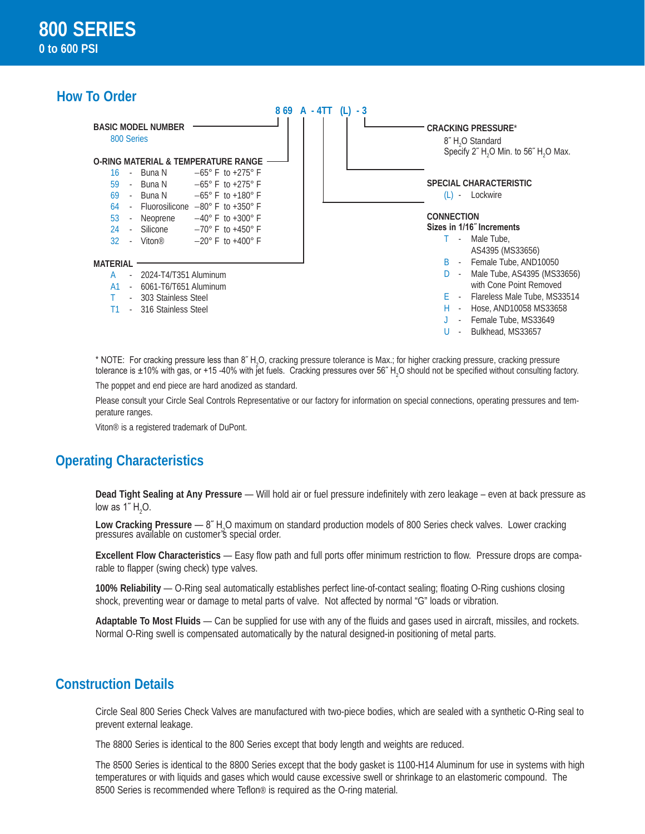## **How To Order**



\* NOTE: For cracking pressure less than 8" H<sub>2</sub>O, cracking pressure tolerance is Max.; for higher cracking pressure, cracking pressure tolerance is ±10% with gas, or +15 -40% with jet fuels. Cracking pressures over 56˝ H<sub>2</sub>O should not be specified without consulting factory.

The poppet and end piece are hard anodized as standard.

Please consult your Circle Seal Controls Representative or our factory for information on special connections, operating pressures and temperature ranges.

Viton® is a registered trademark of DuPont.

#### **Operating Characteristics**

**Dead Tight Sealing at Any Pressure** — Will hold air or fuel pressure indefinitely with zero leakage – even at back pressure as low as 1″  $H_2O$ .

Low Cracking Pressure — 8" H<sub>2</sub>O maximum on standard production models of 800 Series check valves. Lower cracking<br>pressures available on customer's special order.

**Excellent Flow Characteristics** — Easy flow path and full ports offer minimum restriction to flow. Pressure drops are comparable to flapper (swing check) type valves.

**100% Reliability** — O-Ring seal automatically establishes perfect line-of-contact sealing; floating O-Ring cushions closing shock, preventing wear or damage to metal parts of valve. Not affected by normal "G" loads or vibration.

**Adaptable To Most Fluids** — Can be supplied for use with any of the fluids and gases used in aircraft, missiles, and rockets. Normal O-Ring swell is compensated automatically by the natural designed-in positioning of metal parts.

#### **Construction Details**

Circle Seal 800 Series Check Valves are manufactured with two-piece bodies, which are sealed with a synthetic O-Ring seal to prevent external leakage.

The 8800 Series is identical to the 800 Series except that body length and weights are reduced.

The 8500 Series is identical to the 8800 Series except that the body gasket is 1100-H14 Aluminum for use in systems with high temperatures or with liquids and gases which would cause excessive swell or shrinkage to an elastomeric compound. The 8500 Series is recommended where Teflon<sup>®</sup> is required as the O-ring material.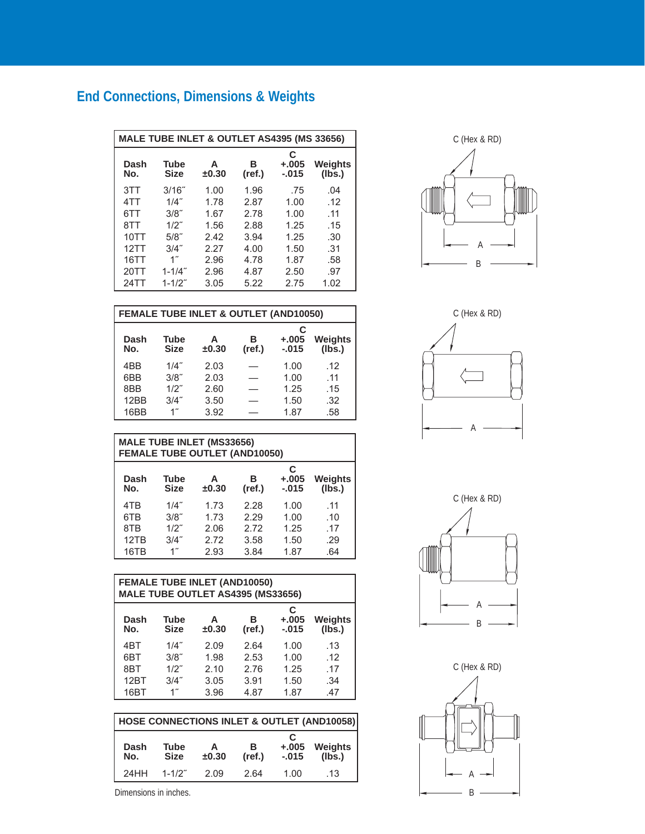## **End Connections, Dimensions & Weights**

| <b>MALE TUBE INLET &amp; OUTLET AS4395 (MS 33656)</b> |                            |            |             |                         |                   |
|-------------------------------------------------------|----------------------------|------------|-------------|-------------------------|-------------------|
| Dash<br>No.                                           | <b>Tube</b><br><b>Size</b> | А<br>±0.30 | в<br>(ref.) | C<br>$+.005$<br>$-.015$ | Weights<br>(Ibs.) |
| 3TT                                                   | 3/16"                      | 1.00       | 1.96        | .75                     | .04               |
| 4TT                                                   | 1/4"                       | 1.78       | 2.87        | 1.00                    | .12               |
| 6TT                                                   | 3/8"                       | 1.67       | 2.78        | 1.00                    | .11               |
| 8TT                                                   | $1/2$ "                    | 1.56       | 2.88        | 1.25                    | .15               |
| 10TT                                                  | $5/8$ "                    | 2.42       | 3.94        | 1.25                    | .30               |
| 12TT                                                  | 3/4"                       | 2.27       | 4.00        | 1.50                    | .31               |
| 16TT                                                  | $1^{\prime\prime}$         | 2.96       | 4.78        | 1.87                    | .58               |
| 20TT                                                  | $1 - 1/4"$                 | 2.96       | 4.87        | 2.50                    | .97               |
| 24TT                                                  | $1 - 1/2"$                 | 3.05       | 5.22        | 2.75                    | 1.02              |

| <b>FEMALE TUBE INLET &amp; OUTLET (AND10050)</b> |                            |            |             |                         |                          |
|--------------------------------------------------|----------------------------|------------|-------------|-------------------------|--------------------------|
| Dash<br>No.                                      | <b>Tube</b><br><b>Size</b> | А<br>±0.30 | в<br>(ref.) | C<br>$+.005$<br>$-.015$ | <b>Weights</b><br>(lbs.) |
| 4BB                                              | $1/4$ "                    | 2.03       |             | 1.00                    | .12                      |
| 6BB                                              | $3/8$ "                    | 2.03       |             | 1.00                    | .11                      |
| 8BB                                              | $1/2$ "                    | 2.60       |             | 1.25                    | .15                      |
| 12BB                                             | 3/4"                       | 3.50       |             | 1.50                    | .32                      |
| 16BB                                             |                            | 3.92       |             | 1.87                    | .58                      |

| <b>MALE TUBE INLET (MS33656)</b><br><b>FEMALE TUBE OUTLET (AND10050)</b> |                            |            |             |                          |                          |
|--------------------------------------------------------------------------|----------------------------|------------|-------------|--------------------------|--------------------------|
| Dash<br>No.                                                              | <b>Tube</b><br><b>Size</b> | A<br>±0.30 | R<br>(ref.) | C<br>$+.005$<br>$-0.015$ | <b>Weights</b><br>(Ibs.) |
| 4T <sub>B</sub>                                                          | $1/4$ "                    | 1.73       | 2.28        | 1.00                     | .11                      |
| 6T <sub>B</sub>                                                          | 3/8"                       | 1.73       | 2.29        | 1.00                     | .10                      |
| 8TB                                                                      | $1/2$ "                    | 2.06       | 2.72        | 1.25                     | .17                      |
| 12TB                                                                     | $3/4$ "                    | 2.72       | 3.58        | 1.50                     | .29                      |
| 16TB                                                                     | $1^{\prime\prime}$         | 2.93       | 3.84        | 1.87                     | .64                      |

| <b>FEMALE TUBE INLET (AND10050)</b><br>MALE TUBE OUTLET AS4395 (MS33656) |                            |            |             |                         |                          |
|--------------------------------------------------------------------------|----------------------------|------------|-------------|-------------------------|--------------------------|
| Dash<br>No.                                                              | <b>Tube</b><br><b>Size</b> | A<br>±0.30 | в<br>(ref.) | C<br>$+.005$<br>$-.015$ | <b>Weights</b><br>(lbs.) |
| 4 <sub>B</sub> T                                                         | 1/4"                       | 2.09       | 2.64        | 1.00                    | .13                      |
| 6BT                                                                      | 3/8"                       | 1.98       | 2.53        | 1.00                    | .12                      |
| 8BT                                                                      | $1/2$ "                    | 2.10       | 2.76        | 1.25                    | .17                      |
| 12BT                                                                     | 3/4"                       | 3.05       | 3.91        | 1.50                    | .34                      |
| 16BT                                                                     | $1^{\prime\prime}$         | 3.96       | 4.87        | 1.87                    | .47                      |

| HOSE CONNECTIONS INLET & OUTLET (AND10058)                                                                      |            |      |      |      |     |
|-----------------------------------------------------------------------------------------------------------------|------------|------|------|------|-----|
| C<br>Weights<br>$+.005$<br>Dash<br>Tube<br>в<br>Α<br>(Ibs.)<br>(ref.)<br><b>Size</b><br>±0.30<br>No.<br>$-.015$ |            |      |      |      |     |
| 24HH                                                                                                            | $1 - 1/2"$ | 2.09 | 2.64 | 1.00 | .13 |

A B C (Hex & RD)





C (Hex & RD)



Dimensions in inches.